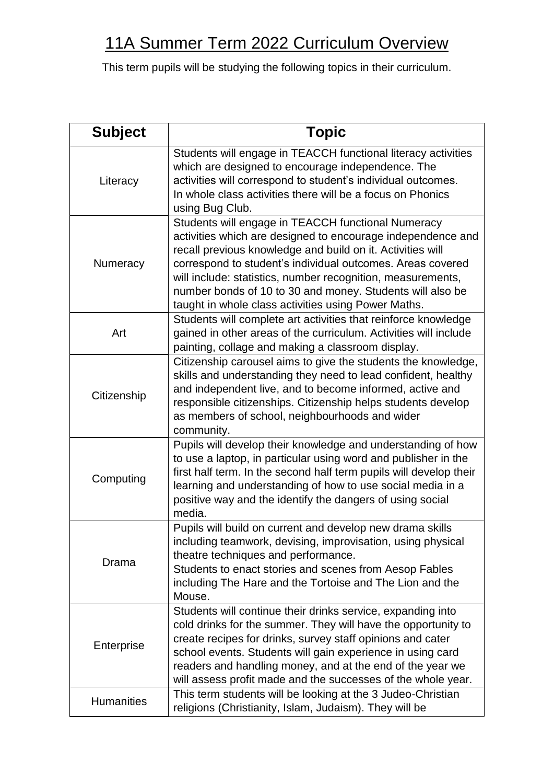## 11A Summer Term 2022 Curriculum Overview

This term pupils will be studying the following topics in their curriculum.

| <b>Subject</b>    | <b>Topic</b>                                                                                                                                                                                                                                                                                                                                                                                                                     |
|-------------------|----------------------------------------------------------------------------------------------------------------------------------------------------------------------------------------------------------------------------------------------------------------------------------------------------------------------------------------------------------------------------------------------------------------------------------|
| Literacy          | Students will engage in TEACCH functional literacy activities<br>which are designed to encourage independence. The<br>activities will correspond to student's individual outcomes.<br>In whole class activities there will be a focus on Phonics<br>using Bug Club.                                                                                                                                                              |
| Numeracy          | Students will engage in TEACCH functional Numeracy<br>activities which are designed to encourage independence and<br>recall previous knowledge and build on it. Activities will<br>correspond to student's individual outcomes. Areas covered<br>will include: statistics, number recognition, measurements,<br>number bonds of 10 to 30 and money. Students will also be<br>taught in whole class activities using Power Maths. |
| Art               | Students will complete art activities that reinforce knowledge<br>gained in other areas of the curriculum. Activities will include<br>painting, collage and making a classroom display.                                                                                                                                                                                                                                          |
| Citizenship       | Citizenship carousel aims to give the students the knowledge,<br>skills and understanding they need to lead confident, healthy<br>and independent live, and to become informed, active and<br>responsible citizenships. Citizenship helps students develop<br>as members of school, neighbourhoods and wider<br>community.                                                                                                       |
| Computing         | Pupils will develop their knowledge and understanding of how<br>to use a laptop, in particular using word and publisher in the<br>first half term. In the second half term pupils will develop their<br>learning and understanding of how to use social media in a<br>positive way and the identify the dangers of using social<br>media.                                                                                        |
| Drama             | Pupils will build on current and develop new drama skills<br>including teamwork, devising, improvisation, using physical<br>theatre techniques and performance.<br>Students to enact stories and scenes from Aesop Fables<br>including The Hare and the Tortoise and The Lion and the<br>Mouse.                                                                                                                                  |
| Enterprise        | Students will continue their drinks service, expanding into<br>cold drinks for the summer. They will have the opportunity to<br>create recipes for drinks, survey staff opinions and cater<br>school events. Students will gain experience in using card<br>readers and handling money, and at the end of the year we<br>will assess profit made and the successes of the whole year.                                            |
| <b>Humanities</b> | This term students will be looking at the 3 Judeo-Christian<br>religions (Christianity, Islam, Judaism). They will be                                                                                                                                                                                                                                                                                                            |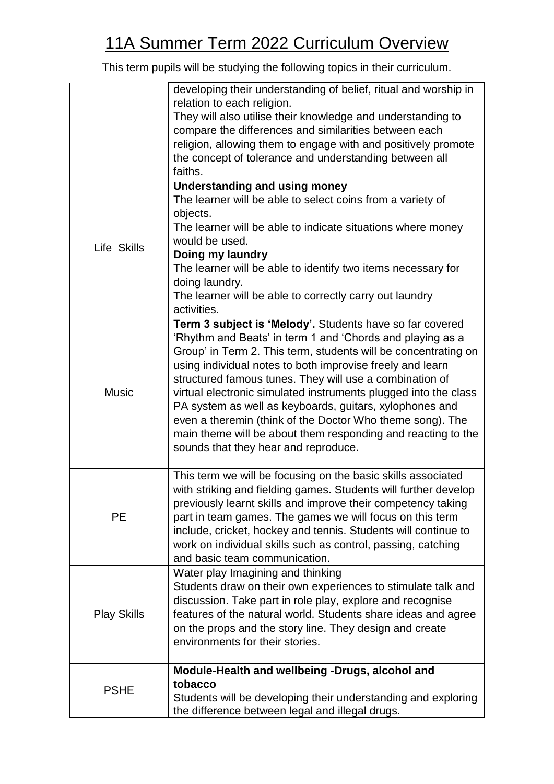## 11A Summer Term 2022 Curriculum Overview

This term pupils will be studying the following topics in their curriculum.

|                    | developing their understanding of belief, ritual and worship in<br>relation to each religion.<br>They will also utilise their knowledge and understanding to                            |
|--------------------|-----------------------------------------------------------------------------------------------------------------------------------------------------------------------------------------|
|                    | compare the differences and similarities between each                                                                                                                                   |
|                    | religion, allowing them to engage with and positively promote                                                                                                                           |
|                    | the concept of tolerance and understanding between all                                                                                                                                  |
|                    | faiths.                                                                                                                                                                                 |
| Life Skills        | <b>Understanding and using money</b>                                                                                                                                                    |
|                    | The learner will be able to select coins from a variety of<br>objects.                                                                                                                  |
|                    | The learner will be able to indicate situations where money                                                                                                                             |
|                    | would be used.                                                                                                                                                                          |
|                    | Doing my laundry                                                                                                                                                                        |
|                    | The learner will be able to identify two items necessary for                                                                                                                            |
|                    | doing laundry.                                                                                                                                                                          |
|                    | The learner will be able to correctly carry out laundry                                                                                                                                 |
|                    | activities.                                                                                                                                                                             |
|                    | Term 3 subject is 'Melody'. Students have so far covered<br>'Rhythm and Beats' in term 1 and 'Chords and playing as a<br>Group' in Term 2. This term, students will be concentrating on |
|                    | using individual notes to both improvise freely and learn                                                                                                                               |
|                    | structured famous tunes. They will use a combination of                                                                                                                                 |
| <b>Music</b>       | virtual electronic simulated instruments plugged into the class                                                                                                                         |
|                    | PA system as well as keyboards, guitars, xylophones and<br>even a theremin (think of the Doctor Who theme song). The                                                                    |
|                    | main theme will be about them responding and reacting to the                                                                                                                            |
|                    | sounds that they hear and reproduce.                                                                                                                                                    |
|                    |                                                                                                                                                                                         |
|                    | This term we will be focusing on the basic skills associated                                                                                                                            |
|                    | with striking and fielding games. Students will further develop                                                                                                                         |
|                    | previously learnt skills and improve their competency taking                                                                                                                            |
| PЕ                 | part in team games. The games we will focus on this term<br>include, cricket, hockey and tennis. Students will continue to                                                              |
|                    | work on individual skills such as control, passing, catching                                                                                                                            |
|                    | and basic team communication.                                                                                                                                                           |
|                    | Water play Imagining and thinking                                                                                                                                                       |
|                    | Students draw on their own experiences to stimulate talk and                                                                                                                            |
|                    | discussion. Take part in role play, explore and recognise                                                                                                                               |
| <b>Play Skills</b> | features of the natural world. Students share ideas and agree                                                                                                                           |
|                    | on the props and the story line. They design and create                                                                                                                                 |
|                    | environments for their stories.                                                                                                                                                         |
|                    | Module-Health and wellbeing -Drugs, alcohol and                                                                                                                                         |
| <b>PSHE</b>        | tobacco                                                                                                                                                                                 |
|                    | Students will be developing their understanding and exploring                                                                                                                           |
|                    | the difference between legal and illegal drugs.                                                                                                                                         |